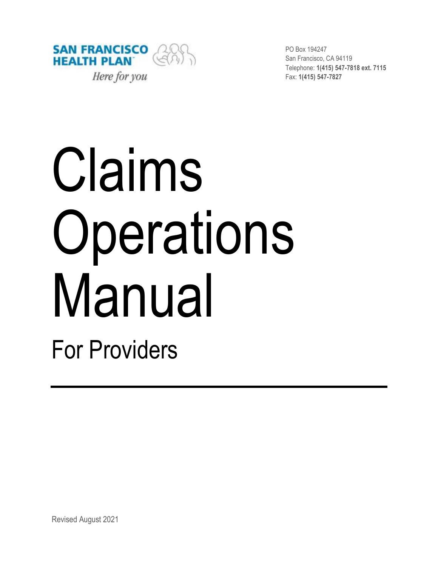

PO Box 194247 San Francisco, CA 94119 Telephone: **1(415) 547-7818 ext. 7115** Fax: **1(415) 547-7827**

# Claims Operations Manual

For Providers

Revised August 2021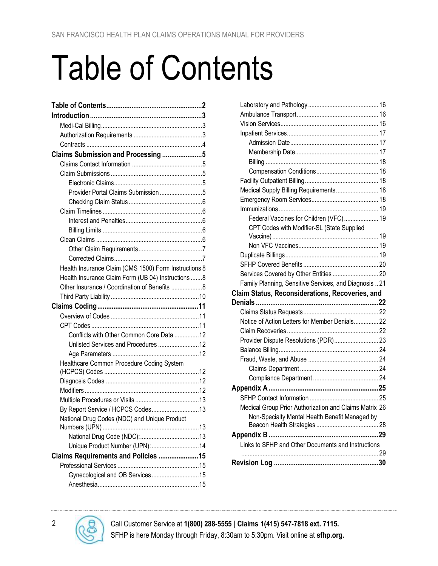# <span id="page-1-0"></span>Table of Contents

| Claims Submission and Processing5                     |  |
|-------------------------------------------------------|--|
|                                                       |  |
|                                                       |  |
|                                                       |  |
| Provider Portal Claims Submission 5                   |  |
|                                                       |  |
|                                                       |  |
|                                                       |  |
|                                                       |  |
|                                                       |  |
|                                                       |  |
|                                                       |  |
| Health Insurance Claim (CMS 1500) Form Instructions 8 |  |
| Health Insurance Claim Form (UB 04) Instructions 8    |  |
| Other Insurance / Coordination of Benefits 8          |  |
|                                                       |  |
|                                                       |  |
|                                                       |  |
|                                                       |  |
| Conflicts with Other Common Core Data 12              |  |
| Unlisted Services and Procedures 12                   |  |
|                                                       |  |
| Healthcare Common Procedure Coding System             |  |
|                                                       |  |
|                                                       |  |
|                                                       |  |
|                                                       |  |
| By Report Service / HCPCS Codes13                     |  |
| National Drug Codes (NDC) and Unique Product          |  |
|                                                       |  |
| Unique Product Number (UPN):  14                      |  |
| Claims Requirements and Policies 15                   |  |
|                                                       |  |
| Gynecological and OB Services15                       |  |
|                                                       |  |
|                                                       |  |

| Medical Supply Billing Requirements 18                 |  |
|--------------------------------------------------------|--|
|                                                        |  |
|                                                        |  |
| Federal Vaccines for Children (VFC) 19                 |  |
| CPT Codes with Modifier-SL (State Supplied             |  |
|                                                        |  |
|                                                        |  |
|                                                        |  |
|                                                        |  |
| Services Covered by Other Entities  20                 |  |
| Family Planning, Sensitive Services, and Diagnosis  21 |  |
| Claim Status, Reconsiderations, Recoveries, and        |  |
|                                                        |  |
|                                                        |  |
| Notice of Action Letters for Member Denials 22         |  |
|                                                        |  |
| Provider Dispute Resolutions (PDR) 23                  |  |
|                                                        |  |
|                                                        |  |
|                                                        |  |
|                                                        |  |
|                                                        |  |
|                                                        |  |
| Medical Group Prior Authorization and Claims Matrix 26 |  |
| Non-Specialty Mental Health Benefit Managed by         |  |
|                                                        |  |
|                                                        |  |
| Links to SFHP and Other Documents and Instructions     |  |
|                                                        |  |
|                                                        |  |

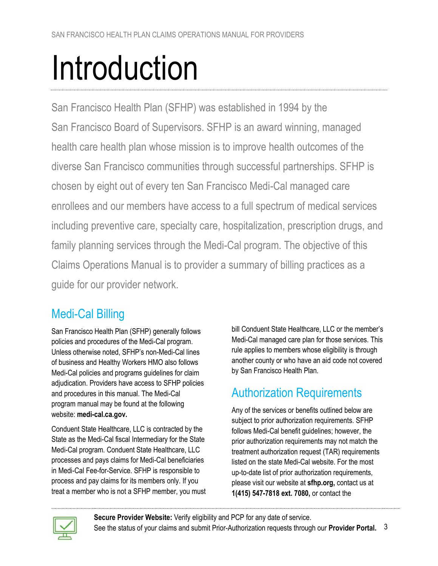# <span id="page-2-0"></span>Introduction

San Francisco Health Plan (SFHP) was established in 1994 by the San Francisco Board of Supervisors. SFHP is an award winning, managed health care health plan whose mission is to improve health outcomes of the diverse San Francisco communities through successful partnerships. SFHP is chosen by eight out of every ten San Francisco Medi-Cal managed care enrollees and our members have access to a full spectrum of medical services including preventive care, specialty care, hospitalization, prescription drugs, and family planning services through the Medi-Cal program. The objective of this Claims Operations Manual is to provider a summary of billing practices as a guide for our provider network.

# <span id="page-2-1"></span>Medi-Cal Billing

San Francisco Health Plan (SFHP) generally follows policies and procedures of the Medi-Cal program. Unless otherwise noted, SFHP's non-Medi-Cal lines of business and Healthy Workers HMO also follows Medi-Cal policies and programs guidelines for claim adjudication. Providers have access to SFHP policies and procedures in this manual. The Medi-Cal program manual may be found at the following website: **[medi-cal.ca.gov.](http://www.medi-cal.ca.gov/)**

Conduent State Healthcare, LLC is contracted by the State as the Medi-Cal fiscal Intermediary for the State Medi-Cal program. Conduent State Healthcare, LLC processes and pays claims for Medi-Cal beneficiaries in Medi-Cal Fee-for-Service. SFHP is responsible to process and pay claims for its members only. If you treat a member who is not a SFHP member, you must bill Conduent State Healthcare, LLC or the member's Medi-Cal managed care plan for those services. This rule applies to members whose eligibility is through another county or who have an aid code not covered by San Francisco Health Plan.

# <span id="page-2-2"></span>Authorization Requirements

Any of the services or benefits outlined below are subject to prior authorization requirements. SFHP follows Medi-Cal benefit guidelines; however, the prior authorization requirements may not match the treatment authorization request (TAR) requirements listed on the state Medi-Cal website. For the most up-to-date list of prior authorization requirements, please visit our website at **[sfhp.org,](http://www.sfhp.org/)** contact us at **1(415) 547-7818 ext. 7080,** or contact the



**[Secure Provider Website:](https://sfhpprovider.healthtrioconnect.com/app/index.page?)** Verify eligibility and PCP for any date of service. See the status of your claims and submit Prior-Authorization requests through our **[Provider Portal.](https://sfhpprovider.healthtrioconnect.com/app/index.page?)** 3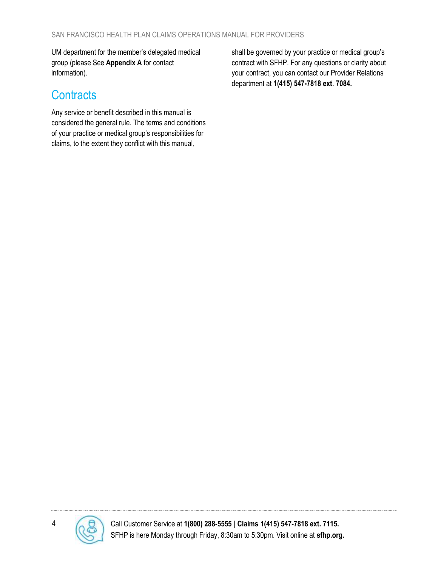UM department for the member's delegated medical group (please See **[Appendix](#page-25-0) A** [for contact](#page-25-0)  [information\)](#page-25-0).

#### <span id="page-3-0"></span>**Contracts**

Any service or benefit described in this manual is considered the general rule. The terms and conditions of your practice or medical group's responsibilities for claims, to the extent they conflict with this manual,

<span id="page-3-1"></span>shall be governed by your practice or medical group's contract with SFHP. For any questions or clarity about your contract, you can contact our Provider Relations department at **1(415) 547-7818 ext. 7084.**

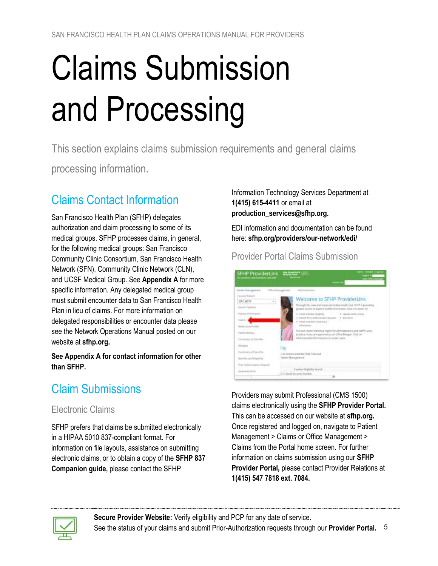# <span id="page-4-0"></span>Claims Submission and Processing

This section explains claims submission requirements and general claims

processing information.

# <span id="page-4-1"></span>Claims Contact Information

San Francisco Health Plan (SFHP) delegates authorization and claim processing to some of its medical groups. SFHP processes claims, in general, for the following medical groups: San Francisco Community Clinic Consortium, San Francisco Health Network (SFN), Community Clinic Network (CLN), and UCSF Medical Group. See **[Appendix](#page-24-0) A** for more specific information. Any delegated medical group must submit encounter data to San Francisco Health Plan in lieu of claims. For more information on delegated responsibilities or encounter data please see the Network Operations Manual posted on our website at **[sfhp.org.](http://www.sfhp.org/)**

**Se[e Appendix](#page-24-0) A for contact information for other than SFHP.**

# <span id="page-4-2"></span>Claim Submissions

#### <span id="page-4-3"></span>Electronic Claims

SFHP prefers that claims be submitted electronically in a HIPAA 5010 837-compliant format. For information on file layouts, assistance on submitting electronic claims, or to obtain a copy of the **[SFHP 837](#page-28-1)  [Companion guide,](#page-28-1)** please contact the SFHP

#### Information Technology Services Department at **1(415) 615-4411** or email at **[production\\_services@sfhp.org.](mailto:production_services@sfhp.org)**

EDI information and documentation can be found here: **[sfhp.org/providers/our-network/edi/](https://www.sfhp.org/providers/our-network/edi/)**

<span id="page-4-4"></span>Provider Portal Claims Submission



Providers may submit Professional (CMS 1500) claims electronically using the **[SFHP Provider Portal.](https://sfhpprovider.healthtrioconnect.com/app/index.page?)** This can be accessed on our website at **[sfhp.org.](http://www.sfhp.org/)** Once registered and logged on, navigate to Patient Management > Claims or Office Management > Claims from the Portal home screen. For further information on claims submission using our **[SFHP](https://sfhpprovider.healthtrioconnect.com/app/index.page?)  [Provider Portal,](https://sfhpprovider.healthtrioconnect.com/app/index.page?)** please contact Provider Relations at **1(415) 547 7818 ext. 7084.**

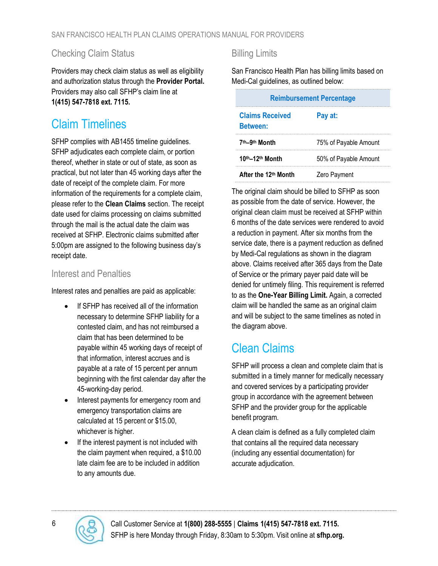#### <span id="page-5-0"></span>Checking Claim Status

Providers may check claim status as well as eligibility and authorization status through the **[Provider Portal.](https://sfhpprovider.healthtrioconnect.com/app/index.page?)** Providers may also call SFHP's claim line at **1(415) 547-7818 ext. 7115.**

#### <span id="page-5-1"></span>Claim Timelines

SFHP complies with AB1455 timeline guidelines. SFHP adjudicates each complete claim, or portion thereof, whether in state or out of state, as soon as practical, but not later than 45 working days after the date of receipt of the complete claim. For more information of the requirements for a complete claim, please refer to the **[Clean Claims](#page-5-4)** section. The receipt date used for claims processing on claims submitted through the mail is the actual date the claim was received at SFHP. Electronic claims submitted after 5:00pm are assigned to the following business day's receipt date.

#### <span id="page-5-2"></span>Interest and Penalties

Interest rates and penalties are paid as applicable:

- If SFHP has received all of the information necessary to determine SFHP liability for a contested claim, and has not reimbursed a claim that has been determined to be payable within 45 working days of receipt of that information, interest accrues and is payable at a rate of 15 percent per annum beginning with the first calendar day after the 45-working-day period.
- Interest payments for emergency room and emergency transportation claims are calculated at 15 percent or \$15.00, whichever is higher.
- If the interest payment is not included with the claim payment when required, a \$10.00 late claim fee are to be included in addition to any amounts due.

#### <span id="page-5-3"></span>Billing Limits

San Francisco Health Plan has billing limits based on Medi-Cal guidelines, as outlined below:

| <b>Reimbursement Percentage</b>                      |                       |  |  |
|------------------------------------------------------|-----------------------|--|--|
| <b>Claims Received</b><br>Pay at:<br><b>Between:</b> |                       |  |  |
| 7 <sup>th</sup> -9 <sup>th</sup> Month               | 75% of Payable Amount |  |  |
| 10th-12th Month                                      | 50% of Payable Amount |  |  |
| After the 12th Month                                 | Zero Payment          |  |  |

The original claim should be billed to SFHP as soon as possible from the date of service. However, the original clean claim must be received at SFHP within 6 months of the date services were rendered to avoid a reduction in payment. After six months from the service date, there is a payment reduction as defined by Medi-Cal regulations as shown in the diagram above. Claims received after 365 days from the Date of Service or the primary payer paid date will be denied for untimely filing. This requirement is referred to as the **One-Year Billing Limit.** Again, a corrected claim will be handled the same as an original claim and will be subject to the same timelines as noted in the diagram above.

#### <span id="page-5-4"></span>Clean Claims

SFHP will process a clean and complete claim that is submitted in a timely manner for medically necessary and covered services by a participating provider group in accordance with the agreement between SFHP and the provider group for the applicable benefit program.

A clean claim is defined as a fully completed claim that contains all the required data necessary (including any essential documentation) for accurate adjudication.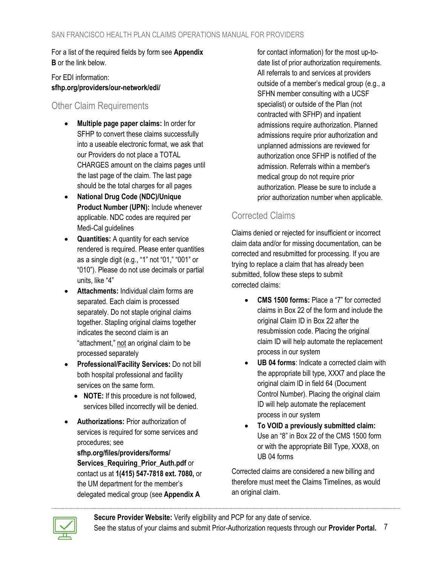For a list of the required fields by form see **[Appendix](#page-28-0)  [B](#page-28-0)** or the link below.

For EDI information: **[sfhp.org/providers/our-network/edi/](https://www.sfhp.org/providers/our-network/edi/)**

#### <span id="page-6-0"></span>Other Claim Requirements

- **Multiple page paper claims:** In order for SFHP to convert these claims successfully into a useable electronic format, we ask that our Providers do not place a TOTAL CHARGES amount on the claims pages until the last page of the claim. The last page should be the total charges for all pages
- **National Drug Code (NDC)/Unique Product Number (UPN):** Include whenever applicable. NDC codes are required per Medi-Cal guidelines
- **Quantities:** A quantity for each service rendered is required. Please enter quantities as a single digit (e.g., "1" not "01," "001" or "010"). Please do not use decimals or partial units, like "4"
- **Attachments:** Individual claim forms are separated. Each claim is processed separately. Do not staple original claims together. Stapling original claims together indicates the second claim is an "attachment," not an original claim to be processed separately
- **Professional/Facility Services:** Do not bill both hospital professional and facility services on the same form.
	- **NOTE:** If this procedure is not followed, services billed incorrectly will be denied.
- **Authorizations:** Prior authorization of services is required for some services and procedures; see

**[sfhp.org/files/providers/forms/](https://www.sfhp.org/files/providers/forms/Services_Requiring_Prior_Auth.pdf) [Services\\_Requiring\\_Prior\\_Auth.pdf](https://www.sfhp.org/files/providers/forms/Services_Requiring_Prior_Auth.pdf)** or contact us at **1(415) 547-7818 ext. 7080,** or the UM department for the member's delegated medical group (see **[Appendix](#page-24-0) A**

for contact information) for the most up-todate list of prior authorization requirements. All referrals to and services at providers outside of a member's medical group (e.g., a SFHN member consulting with a UCSF specialist) or outside of the Plan (not contracted with SFHP) and inpatient admissions require authorization. Planned admissions require prior authorization and unplanned admissions are reviewed for authorization once SFHP is notified of the admission. Referrals within a member's medical group do not require prior authorization. Please be sure to include a prior authorization number when applicable.

#### <span id="page-6-1"></span>Corrected Claims

Claims denied or rejected for insufficient or incorrect claim data and/or for missing documentation, can be corrected and resubmitted for processing. If you are trying to replace a claim that has already been submitted, follow these steps to submit corrected claims:

- **CMS 1500 forms:** Place a "7" for corrected claims in Box 22 of the form and include the original Claim ID in Box 22 after the resubmission code. Placing the original claim ID will help automate the replacement process in our system
- **UB 04 forms**: Indicate a corrected claim with the appropriate bill type, XXX7 and place the original claim ID in field 64 (Document Control Number). Placing the original claim ID will help automate the replacement process in our system
- **To VOID a previously submitted claim:** Use an "8" in Box 22 of the CMS 1500 form or with the appropriate Bill Type, XXX8, on UB 04 forms

Corrected claims are considered a new billing and therefore must meet the [Claims Timelines,](#page-5-1) as would an original claim.

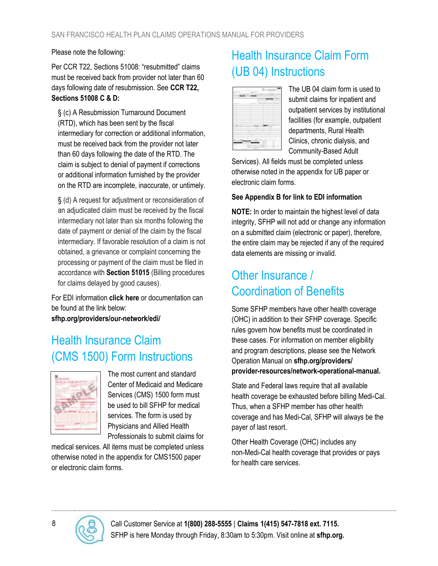Please note the following:

Per CCR T22, Sections 51008: "resubmitted" claims must be received back from provider not later than 60 days following date of resubmission. See **[CCR T22,](https://govt.westlaw.com/calregs/Document/I48CA6940711A11E398C8A377CF1D5F21?originationContext=Search+Result&listSource=Search&viewType=FullText&navigationPath=Search%2fv3%2fsearch%2fresults%2fnavigation%2fi0ad62d2e000001683a02769f5f998ca9%3fstartIndex%3d1%26Nav%3dREGULATION_PUBLICVIEW%26contextData%3d(sc.Default)&rank=1&list=REGULATION_PUBLICVIEW&transitionType=SearchItem&contextData=(sc.Search)&t_T1=22&t_T2=51008&t_S1=CA+ADC+s)  [Sections 51008 C &](https://govt.westlaw.com/calregs/Document/I48CA6940711A11E398C8A377CF1D5F21?originationContext=Search+Result&listSource=Search&viewType=FullText&navigationPath=Search%2fv3%2fsearch%2fresults%2fnavigation%2fi0ad62d2e000001683a02769f5f998ca9%3fstartIndex%3d1%26Nav%3dREGULATION_PUBLICVIEW%26contextData%3d(sc.Default)&rank=1&list=REGULATION_PUBLICVIEW&transitionType=SearchItem&contextData=(sc.Search)&t_T1=22&t_T2=51008&t_S1=CA+ADC+s) D:**

§ (c) A Resubmission Turnaround Document (RTD), which has been sent by the fiscal intermediary for correction or additional information, must be received back from the provider not later than 60 days following the date of the RTD. The claim is subject to denial of payment if corrections or additional information furnished by the provider on the RTD are incomplete, inaccurate, or untimely.

§ (d) A request for adjustment or reconsideration of an adjudicated claim must be received by the fiscal intermediary not later than six months following the date of payment or denial of the claim by the fiscal intermediary. If favorable resolution of a claim is not obtained, a grievance or complaint concerning the processing or payment of the claim must be filed in accordance with **[Section 51015](https://govt.westlaw.com/calregs/Document/I4A7DE5A0711A11E398C8A377CF1D5F21?originationContext=Search+Result&listSource=Search&viewType=FullText&navigationPath=Search%2fv3%2fsearch%2fresults%2fnavigation%2fi0ad62d2e000001683a0ec4495f998db4%3fstartIndex%3d1%26Nav%3dREGULATION_PUBLICVIEW%26contextData%3d(sc.Default)&rank=1&list=REGULATION_PUBLICVIEW&transitionType=SearchItem&contextData=(sc.Search)&t_T1=22&t_T2=51015&t_S1=CA+ADC+s)** (Billing procedures for claims delayed by good causes).

For EDI information **[click here](#page-28-1)** or documentation can be found at the link below: **[sfhp.org/providers/our-network/edi/](https://www.sfhp.org/providers/our-network/edi/)**

#### <span id="page-7-0"></span>Health Insurance Claim (CMS 1500) Form Instructions



The most current and standard Center of Medicaid and Medicare Services (CMS) 1500 form must be used to bill SFHP for medical services. The form is used by Physicians and Allied Health Professionals to submit claims for

medical services. All items must be completed unless otherwise noted in the appendix for CMS1500 paper or electronic claim forms.

# <span id="page-7-1"></span>Health Insurance Claim Form (UB 04) Instructions

| - |  |  |
|---|--|--|

The UB 04 claim form is used to submit claims for inpatient and outpatient services by institutional facilities (for example, outpatient departments, Rural Health Clinics, chronic dialysis, and Community-Based Adult

Services). All fields must be completed unless otherwise noted in the appendix for UB paper or electronic claim forms.

#### **Se[e Appendix B](#page-28-0) for link to EDI information**

**NOTE:** In order to maintain the highest level of data integrity, SFHP will not add or change any information on a submitted claim (electronic or paper), therefore, the entire claim may be rejected if any of the required data elements are missing or invalid.

#### <span id="page-7-2"></span>Other Insurance / Coordination of Benefits

Some SFHP members have other health coverage (OHC) in addition to their SFHP coverage. Specific rules govern how benefits must be coordinated in these cases. For information on member eligibility and program descriptions, please see the Network Operation Manual on **[sfhp.org/providers/](http://sfhp.org/providers/provider-resources/network-operational-manual) [provider-resources/network-operational-manual.](http://sfhp.org/providers/provider-resources/network-operational-manual)**

State and Federal laws require that all available health coverage be exhausted before billing Medi-Cal. Thus, when a SFHP member has other health coverage and has Medi-Cal, SFHP will always be the payer of last resort.

Other Health Coverage (OHC) includes any non-Medi-Cal health coverage that provides or pays for health care services.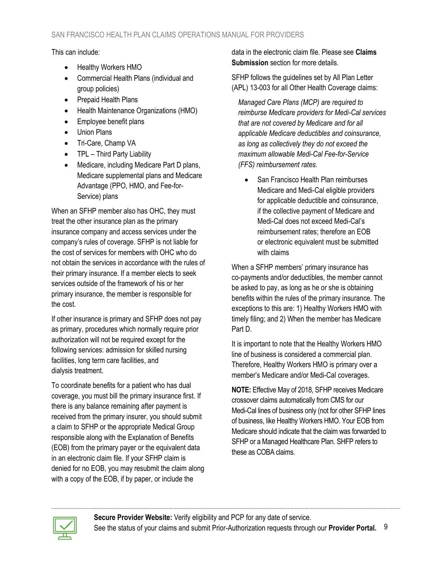This can include:

- Healthy Workers HMO
- Commercial Health Plans (individual and group policies)
- Prepaid Health Plans
- Health Maintenance Organizations (HMO)
- Employee benefit plans
- Union Plans
- Tri-Care, Champ VA
- TPL Third Party Liability
- Medicare, including Medicare Part D plans, Medicare supplemental plans and Medicare Advantage (PPO, HMO, and Fee-for-Service) plans

When an SFHP member also has OHC, they must treat the other insurance plan as the primary insurance company and access services under the company's rules of coverage. SFHP is not liable for the cost of services for members with OHC who do not obtain the services in accordance with the rules of their primary insurance. If a member elects to seek services outside of the framework of his or her primary insurance, the member is responsible for the cost.

If other insurance is primary and SFHP does not pay as primary, procedures which normally require prior authorization will not be required except for the following services: admission for skilled nursing facilities, long term care facilities, and dialysis treatment.

To coordinate benefits for a patient who has dual coverage, you must bill the primary insurance first. If there is any balance remaining after payment is received from the primary insurer, you should submit a claim to SFHP or the appropriate Medical Group responsible along with the Explanation of Benefits (EOB) from the primary payer or the equivalent data in an electronic claim file. If your SFHP claim is denied for no EOB, you may resubmit the claim along with a copy of the EOB, if by paper, or include the

data in the electronic claim file. Please see **[Claims](#page-3-1)  [Submission](#page-3-1)** section for more details.

SFHP follows the guidelines set by All Plan Letter (APL) 13-003 for all Other Health Coverage claims:

*Managed Care Plans (MCP) are required to reimburse Medicare providers for Medi-Cal services that are not covered by Medicare and for all applicable Medicare deductibles and coinsurance, as long as collectively they do not exceed the maximum allowable Medi-Cal Fee-for-Service (FFS) reimbursement rates.*

• San Francisco Health Plan reimburses Medicare and Medi-Cal eligible providers for applicable deductible and coinsurance, if the collective payment of Medicare and Medi-Cal does not exceed Medi-Cal's reimbursement rates; therefore an EOB or electronic equivalent must be submitted with claims

When a SFHP members' primary insurance has co-payments and/or deductibles, the member cannot be asked to pay, as long as he or she is obtaining benefits within the rules of the primary insurance. The exceptions to this are: 1) Healthy Workers HMO with timely filing; and 2) When the member has Medicare Part D.

It is important to note that the Healthy Workers HMO line of business is considered a commercial plan. Therefore, Healthy Workers HMO is primary over a member's Medicare and/or Medi-Cal coverages.

**NOTE:** Effective May of 2018, SFHP receives Medicare crossover claims automatically from CMS for our Medi-Cal lines of business only (not for other SFHP lines of business, like Healthy Workers HMO. Your EOB from Medicare should indicate that the claim was forwarded to SFHP or a Managed Healthcare Plan. SHFP refers to these as COBA claims.

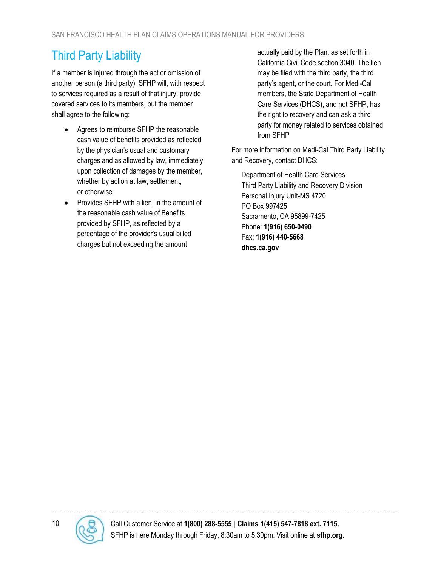# <span id="page-9-0"></span>Third Party Liability

If a member is injured through the act or omission of another person (a third party), SFHP will, with respect to services required as a result of that injury, provide covered services to its members, but the member shall agree to the following:

- Agrees to reimburse SFHP the reasonable cash value of benefits provided as reflected by the physician's usual and customary charges and as allowed by law, immediately upon collection of damages by the member, whether by action at law, settlement, or otherwise
- Provides SFHP with a lien, in the amount of the reasonable cash value of Benefits provided by SFHP, as reflected by a percentage of the provider's usual billed charges but not exceeding the amount

actually paid by the Plan, as set forth in California Civil Code section 3040. The lien may be filed with the third party, the third party's agent, or the court. For Medi-Cal members, the State Department of Health Care Services (DHCS), and not SFHP, has the right to recovery and can ask a third party for money related to services obtained from SFHP

For more information on Medi-Cal Third Party Liability and Recovery, contact DHCS:

Department of Health Care Services Third Party Liability and Recovery Division Personal Injury Unit-MS 4720 PO Box 997425 Sacramento, CA 95899-7425 Phone: **1(916) 650-0490** Fax: **1(916) 440-5668 [dhcs.ca.gov](file://///sfhp.org/FolderRedirection/cgarcia/Desktop/www.dhcs.ca.gov)**

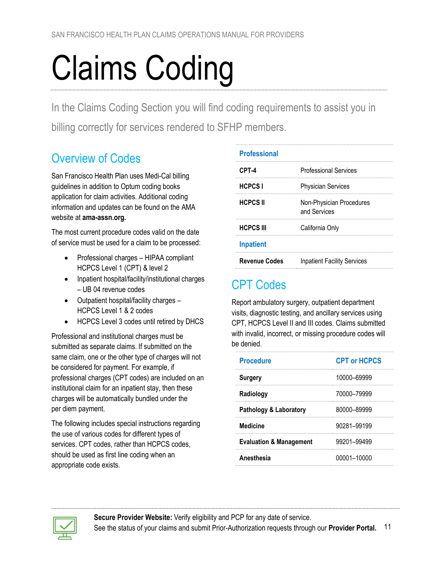# <span id="page-10-0"></span>Claims Coding

In the Claims Coding Section you will find coding requirements to assist you in billing correctly for services rendered to SFHP members.

#### <span id="page-10-1"></span>Overview of Codes

San Francisco Health Plan uses Medi-Cal billing guidelines in addition to Optum coding books application for claim activities. Additional coding information and updates can be found on the AMA website at **[ama-assn.org.](http://www.ama-assn.org/)**

The most current procedure codes valid on the date of service must be used for a claim to be processed:

- Professional charges HIPAA compliant HCPCS Level 1 (CPT) & level 2
- Inpatient hospital/facility/institutional charges – UB 04 revenue codes
- Outpatient hospital/facility charges HCPCS Level 1 & 2 codes
- HCPCS Level 3 codes until retired by DHCS

Professional and institutional charges must be submitted as separate claims. If submitted on the same claim, one or the other type of charges will not be considered for payment. For example, if professional charges (CPT codes) are included on an institutional claim for an inpatient stay, then these charges will be automatically bundled under the per diem payment.

The following includes special instructions regarding the use of various codes for different types of services. CPT codes, rather than HCPCS codes, should be used as first line coding when an appropriate code exists.

| <b>Professional</b>  |                                          |
|----------------------|------------------------------------------|
| CPT-4                | <b>Professional Services</b>             |
| <b>HCPCSI</b>        | <b>Physician Services</b>                |
| <b>HCPCS II</b>      | Non-Physician Procedures<br>and Services |
| <b>HCPCS III</b>     | California Only                          |
| <b>Inpatient</b>     |                                          |
| <b>Revenue Codes</b> | <b>Inpatient Facility Services</b>       |

# <span id="page-10-2"></span>CPT Codes

Report ambulatory surgery, outpatient department visits, diagnostic testing, and ancillary services using CPT, HCPCS Level II and III codes. Claims submitted with invalid, incorrect, or missing procedure codes will be denied.

| <b>Procedure</b>                   | <b>CPT or HCPCS</b> |
|------------------------------------|---------------------|
| <b>Surgery</b>                     | 10000-69999         |
| Radiology                          | 70000–79999         |
| <b>Pathology &amp; Laboratory</b>  | 80000-89999         |
| <b>Medicine</b>                    | 90281-99199         |
| <b>Evaluation &amp; Management</b> | 99201-99499         |
| Anesthesia                         | 00001–10000         |

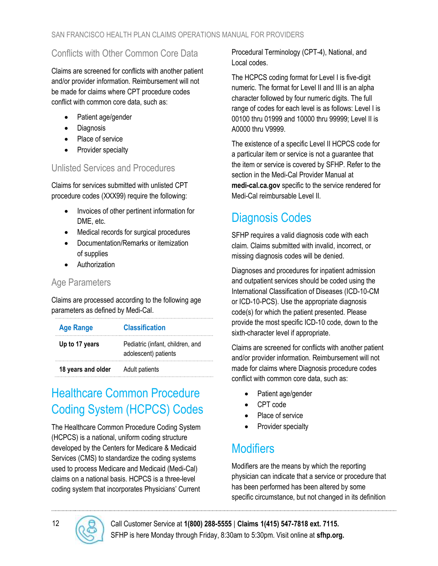#### <span id="page-11-0"></span>Conflicts with Other Common Core Data

Claims are screened for conflicts with another patient and/or provider information. Reimbursement will not be made for claims where CPT procedure codes conflict with common core data, such as:

- Patient age/gender
- Diagnosis
- Place of service
- Provider specialty

#### <span id="page-11-1"></span>Unlisted Services and Procedures

Claims for services submitted with unlisted CPT procedure codes (XXX99) require the following:

- Invoices of other pertinent information for DME, etc.
- Medical records for surgical procedures
- Documentation/Remarks or itemization of supplies
- Authorization

#### <span id="page-11-2"></span>Age Parameters

Claims are processed according to the following age parameters as defined by Medi-Cal.

| <b>Age Range</b>   | <b>Classification</b>                                    |
|--------------------|----------------------------------------------------------|
| Up to 17 years     | Pediatric (infant, children, and<br>adolescent) patients |
| 18 years and older | Adult patients                                           |

# <span id="page-11-3"></span>Healthcare Common Procedure Coding System (HCPCS) Codes

The Healthcare Common Procedure Coding System (HCPCS) is a national, uniform coding structure developed by the Centers for Medicare & Medicaid Services (CMS) to standardize the coding systems used to process Medicare and Medicaid (Medi-Cal) claims on a national basis. HCPCS is a three-level coding system that incorporates Physicians' Current Procedural Terminology (CPT-4), National, and Local codes.

The HCPCS coding format for Level I is five-digit numeric. The format for Level II and III is an alpha character followed by four numeric digits. The full range of codes for each level is as follows: Level I is 00100 thru 01999 and 10000 thru 99999; Level II is A0000 thru V9999.

The existence of a specific Level II HCPCS code for a particular item or service is not a guarantee that the item or service is covered by SFHP. Refer to the section in the Medi-Cal Provider Manual at **[medi-cal.ca.gov](http://www.medi-cal.ca.gov/)** specific to the service rendered for Medi-Cal reimbursable Level II.

# <span id="page-11-4"></span>Diagnosis Codes

SFHP requires a valid diagnosis code with each claim. Claims submitted with invalid, incorrect, or missing diagnosis codes will be denied.

Diagnoses and procedures for inpatient admission and outpatient services should be coded using the International Classification of Diseases (ICD-10-CM or ICD-10-PCS). Use the appropriate diagnosis code(s) for which the patient presented. Please provide the most specific ICD-10 code, down to the sixth-character level if appropriate.

Claims are screened for conflicts with another patient and/or provider information. Reimbursement will not made for claims where Diagnosis procedure codes conflict with common core data, such as:

- Patient age/gender
- CPT code
- Place of service
- Provider specialty

# <span id="page-11-5"></span>**Modifiers**

Modifiers are the means by which the reporting physician can indicate that a service or procedure that has been performed has been altered by some specific circumstance, but not changed in its definition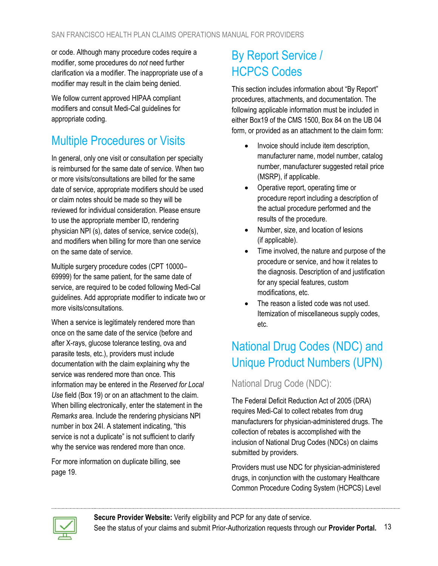or code. Although many procedure codes require a modifier, some procedures do *not* need further clarification via a modifier. The inappropriate use of a modifier may result in the claim being denied.

We follow current approved HIPAA compliant modifiers and consult Medi-Cal guidelines for appropriate coding.

#### <span id="page-12-0"></span>Multiple Procedures or Visits

In general, only one visit or consultation per specialty is reimbursed for the same date of service. When two or more visits/consultations are billed for the same date of service, appropriate modifiers should be used or claim notes should be made so they will be reviewed for individual consideration. Please ensure to use the appropriate member ID, rendering physician NPI (s), dates of service, service code(s), and modifiers when billing for more than one service on the same date of service.

Multiple surgery procedure codes (CPT 10000– 69999) for the same patient, for the same date of service, are required to be coded following Medi-Cal guidelines. Add appropriate modifier to indicate two or more visits/consultations.

When a service is legitimately rendered more than once on the same date of the service (before and after X-rays, glucose tolerance testing, ova and parasite tests, etc.), providers must include documentation with the claim explaining why the service was rendered more than once. This information may be entered in the *Reserved for Local Use* field (Box 19) or on an attachment to the claim. When billing electronically, enter the statement in the *Remarks* area. Include the rendering physicians NPI number in box 24I. A statement indicating, "this service is not a duplicate" is not sufficient to clarify why the service was rendered more than once.

For more information on duplicate billing[, see](#page-18-4)  [page](#page-18-4) [19.](_Ref19092122)

# <span id="page-12-1"></span>By Report Service / HCPCS Codes

This section includes information about "By Report" procedures, attachments, and documentation. The following applicable information must be included in either Box19 of the CMS 1500, Box 84 on the UB 04 form, or provided as an attachment to the claim form:

- Invoice should include item description, manufacturer name, model number, catalog number, manufacturer suggested retail price (MSRP), if applicable.
- Operative report, operating time or procedure report including a description of the actual procedure performed and the results of the procedure.
- Number, size, and location of lesions (if applicable).
- Time involved, the nature and purpose of the procedure or service, and how it relates to the diagnosis. Description of and justification for any special features, custom modifications, etc.
- The reason a listed code was not used. Itemization of miscellaneous supply codes, etc.

# <span id="page-12-2"></span>National Drug Codes (NDC) and Unique Product Numbers (UPN)

#### <span id="page-12-3"></span>National Drug Code (NDC):

The Federal Deficit Reduction Act of 2005 (DRA) requires Medi-Cal to collect rebates from drug manufacturers for physician-administered drugs. The collection of rebates is accomplished with the inclusion of National Drug Codes (NDCs) on claims submitted by providers.

Providers must use NDC for physician-administered drugs, in conjunction with the customary Healthcare Common Procedure Coding System (HCPCS) Level

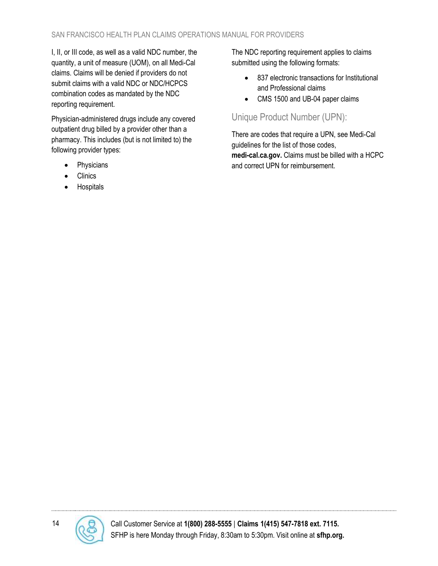I, II, or III code, as well as a valid NDC number, the quantity, a unit of measure (UOM), on all Medi-Cal claims. Claims will be denied if providers do not submit claims with a valid NDC or NDC/HCPCS combination codes as mandated by the NDC reporting requirement.

Physician-administered drugs include any covered outpatient drug billed by a provider other than a pharmacy. This includes (but is not limited to) the following provider types:

- Physicians
- **Clinics**
- **Hospitals**

The NDC reporting requirement applies to claims submitted using the following formats:

- 837 electronic transactions for Institutional and Professional claims
- CMS 1500 and UB-04 paper claims

#### <span id="page-13-0"></span>Unique Product Number (UPN):

There are codes that require a UPN, see Medi-Cal guidelines for the list of those codes, **[medi-cal.ca.gov.](http://www.medi-cal.ca.gov/)** Claims must be billed with a HCPC and correct UPN for reimbursement.

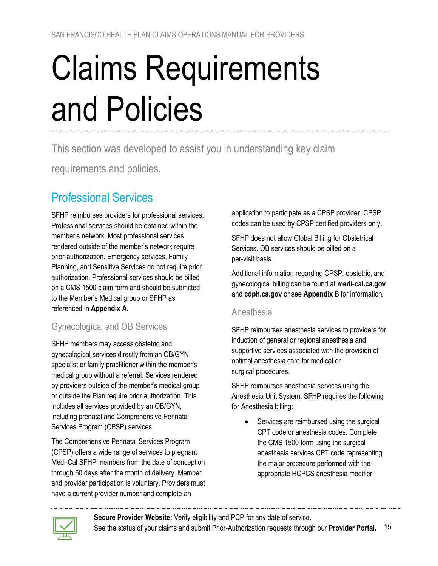# <span id="page-14-0"></span>Claims Requirements and Policies

This section was developed to assist you in understanding key claim

requirements and policies.

### <span id="page-14-1"></span>Professional Services

SFHP reimburses providers for professional services. Professional services should be obtained within the member's network. Most professional services rendered outside of the member's network require prior-authorization. Emergency services, Family Planning, and Sensitive Services do not require prior authorization. Professional services should be billed on a CMS 1500 claim form and should be submitted to the Member's Medical group or SFHP as referenced in **[Appendix](#page-24-0) A.**

#### <span id="page-14-2"></span>Gynecological and OB Services

SFHP members may access obstetric and gynecological services directly from an OB/GYN specialist or family practitioner within the member's medical group without a referral. Services rendered by providers outside of the member's medical group or outside the Plan require prior authorization. This includes all services provided by an OB/GYN, including prenatal and Comprehensive Perinatal Services Program (CPSP) services.

The Comprehensive Perinatal Services Program (CPSP) offers a wide range of services to pregnant Medi-Cal SFHP members from the date of conception through 60 days after the month of delivery. Member and provider participation is voluntary. Providers must have a current provider number and complete an

application to participate as a CPSP provider. CPSP codes can be used by CPSP certified providers only.

SFHP does not allow Global Billing for Obstetrical Services. OB services should be billed on a per-visit basis.

Additional information regarding CPSP, obstetric, and gynecological billing can be found at **[medi-cal.ca.gov](http://medi-cal.ca.gov/)** and **[cdph.ca.gov](file:///C:/TempCache/ptouris/Content.Outlook/GGLAP317/www.cdph.ca.gov)** or see **[Appendix](#page-28-0)** B for information.

#### <span id="page-14-3"></span>Anesthesia

SFHP reimburses anesthesia services to providers for induction of general or regional anesthesia and supportive services associated with the provision of optimal anesthesia care for medical or surgical procedures.

SFHP reimburses anesthesia services using the Anesthesia Unit System. SFHP requires the following for Anesthesia billing:

• Services are reimbursed using the surgical CPT code or anesthesia codes. Complete the CMS 1500 form using the surgical anesthesia services CPT code representing the major procedure performed with the appropriate HCPCS anesthesia modifier

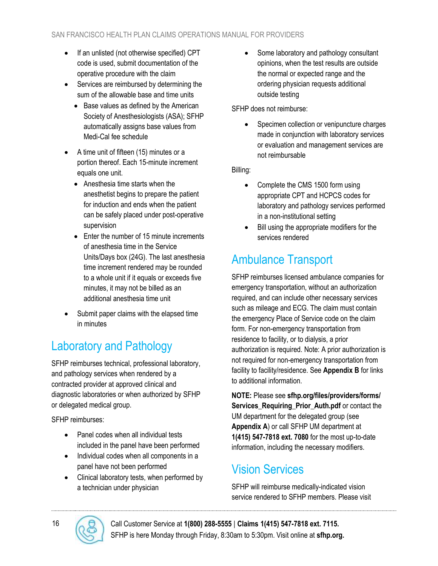- If an unlisted (not otherwise specified) CPT code is used, submit documentation of the operative procedure with the claim
- Services are reimbursed by determining the sum of the allowable base and time units
	- Base values as defined by the American Society of Anesthesiologists (ASA); SFHP automatically assigns base values from Medi-Cal fee schedule
- A time unit of fifteen (15) minutes or a portion thereof. Each 15-minute increment equals one unit.
	- Anesthesia time starts when the anesthetist begins to prepare the patient for induction and ends when the patient can be safely placed under post-operative supervision
	- Enter the number of 15 minute increments of anesthesia time in the Service Units/Days box (24G). The last anesthesia time increment rendered may be rounded to a whole unit if it equals or exceeds five minutes, it may not be billed as an additional anesthesia time unit
- Submit paper claims with the elapsed time in minutes

# <span id="page-15-0"></span>Laboratory and Pathology

SFHP reimburses technical, professional laboratory, and pathology services when rendered by a contracted provider at approved clinical and diagnostic laboratories or when authorized by SFHP or delegated medical group.

SFHP reimburses:

- Panel codes when all individual tests included in the panel have been performed
- Individual codes when all components in a panel have not been performed
- Clinical laboratory tests, when performed by a technician under physician

Some laboratory and pathology consultant opinions, when the test results are outside the normal or expected range and the ordering physician requests additional outside testing

SFHP does not reimburse:

Specimen collection or venipuncture charges made in conjunction with laboratory services or evaluation and management services are not reimbursable

Billing:

- Complete the CMS 1500 form using appropriate CPT and HCPCS codes for laboratory and pathology services performed in a non-institutional setting
- Bill using the appropriate modifiers for the services rendered

# <span id="page-15-1"></span>Ambulance Transport

SFHP reimburses licensed ambulance companies for emergency transportation, without an authorization required, and can include other necessary services such as mileage and ECG. The claim must contain the emergency Place of Service code on the claim form. For non-emergency transportation from residence to facility, or to dialysis, a prior authorization is required. Note: A prior authorization is not required for non-emergency transportation from facility to facility/residence. See **[Appendix B](#page-28-0)** for links to additional information.

**NOTE:** Please see **[sfhp.org/files/providers/forms/](https://www.sfhp.org/files/providers/forms/Services_Requiring_Prior_Auth.pdf) [Services\\_Requiring\\_Prior\\_Auth.pdf](https://www.sfhp.org/files/providers/forms/Services_Requiring_Prior_Auth.pdf)** or contact the UM department for the delegated group (see **[Appendix](#page-24-0) A**) or call SFHP UM department at **1(415) 547-7818 ext. 7080** for the most up-to-date information, including the necessary modifiers.

# <span id="page-15-2"></span>Vision Services

SFHP will reimburse medically-indicated vision service rendered to SFHP members. Please visit

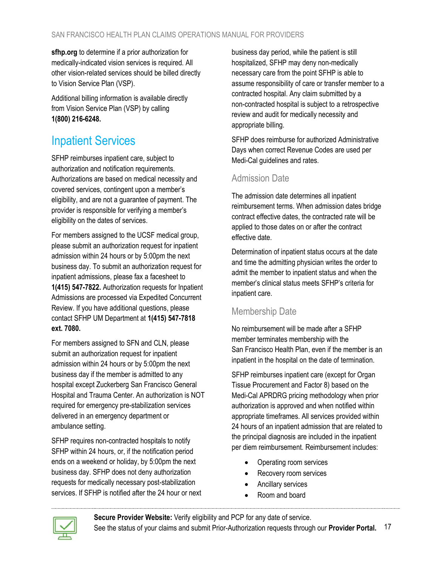**[sfhp.org](http://www.sfhp.org/)** to determine if a prior authorization for medically-indicated vision services is required. All other vision-related services should be billed directly to Vision Service Plan (VSP).

Additional billing information is available directly from Vision Service Plan (VSP) by calling **1(800) 216-6248.**

#### <span id="page-16-0"></span>Inpatient Services

SFHP reimburses inpatient care, subject to authorization and notification requirements. Authorizations are based on medical necessity and covered services, contingent upon a member's eligibility, and are not a guarantee of payment. The provider is responsible for verifying a member's eligibility on the dates of services.

For members assigned to the UCSF medical group, please submit an authorization request for inpatient admission within 24 hours or by 5:00pm the next business day. To submit an authorization request for inpatient admissions, please fax a facesheet to **1(415) 547-7822.** Authorization requests for Inpatient Admissions are processed via Expedited Concurrent Review. If you have additional questions, please contact SFHP UM Department at **1(415) 547-7818 ext. 7080.**

For members assigned to SFN and CLN, please submit an authorization request for inpatient admission within 24 hours or by 5:00pm the next business day if the member is admitted to any hospital except Zuckerberg San Francisco General Hospital and Trauma Center. An authorization is NOT required for emergency pre-stabilization services delivered in an emergency department or ambulance setting.

SFHP requires non-contracted hospitals to notify SFHP within 24 hours, or, if the notification period ends on a weekend or holiday, by 5:00pm the next business day. SFHP does not deny authorization requests for medically necessary post-stabilization services. If SFHP is notified after the 24 hour or next business day period, while the patient is still hospitalized, SFHP may deny non-medically necessary care from the point SFHP is able to assume responsibility of care or transfer member to a contracted hospital. Any claim submitted by a non-contracted hospital is subject to a retrospective review and audit for medically necessity and appropriate billing.

SFHP does reimburse for authorized Administrative Days when correct Revenue Codes are used per Medi-Cal guidelines and [rates.](https://files.medi-cal.ca.gov/pubsdoco/Rates/rates_range_display.asp)

#### <span id="page-16-1"></span>Admission Date

The admission date determines all inpatient reimbursement terms. When admission dates bridge contract effective dates, the contracted rate will be applied to those dates on or after the contract effective date.

Determination of inpatient status occurs at the date and time the admitting physician writes the order to admit the member to inpatient status and when the member's clinical status meets SFHP's criteria for inpatient care.

#### <span id="page-16-2"></span>Membership Date

No reimbursement will be made after a SFHP member terminates membership with the San Francisco Health Plan, even if the member is an inpatient in the hospital on the date of termination.

SFHP reimburses inpatient care (except for Organ Tissue Procurement and Factor 8) based on the Medi-Cal APRDRG pricing methodology when prior authorization is approved and when notified within appropriate timeframes. All services provided within 24 hours of an inpatient admission that are related to the principal diagnosis are included in the inpatient per diem reimbursement. Reimbursement includes:

- Operating room services
- Recovery room services
- Ancillary services
- Room and board



**[Secure Provider Website:](https://sfhpprovider.healthtrioconnect.com/app/index.page?)** Verify eligibility and PCP for any date of service. See the status of your claims and submit Prior-Authorization requests through our **[Provider Portal.](https://sfhpprovider.healthtrioconnect.com/app/index.page?)** 17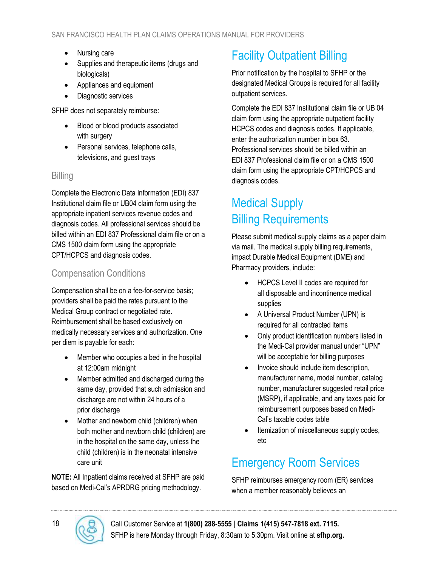- Nursing care
- Supplies and therapeutic items (drugs and biologicals)
- Appliances and equipment
- Diagnostic services

SFHP does not separately reimburse:

- Blood or blood products associated with surgery
- Personal services, telephone calls, televisions, and guest trays

#### <span id="page-17-0"></span>**Billing**

Complete the Electronic Data Information (EDI) 837 Institutional claim file or UB04 claim form using the appropriate inpatient services revenue codes and diagnosis codes. All professional services should be billed within an EDI 837 Professional claim file or on a CMS 1500 claim form using the appropriate CPT/HCPCS and diagnosis codes.

#### <span id="page-17-1"></span>Compensation Conditions

Compensation shall be on a fee-for-service basis; providers shall be paid the rates pursuant to the Medical Group contract or negotiated rate. Reimbursement shall be based exclusively on medically necessary services and authorization. One per diem is payable for each:

- Member who occupies a bed in the hospital at 12:00am midnight
- Member admitted and discharged during the same day, provided that such admission and discharge are not within 24 hours of a prior discharge
- Mother and newborn child (children) when both mother and newborn child (children) are in the hospital on the same day, unless the child (children) is in the neonatal intensive care unit

**NOTE:** All Inpatient claims received at SFHP are paid based on Medi-Cal's APRDRG pricing methodology.

# <span id="page-17-2"></span>Facility Outpatient Billing

Prior notification by the hospital to SFHP or the designated Medical Groups is required for all facility outpatient services.

Complete the [EDI 837 Institutional claim file or UB 04](#page-28-1) [claim](#page-28-1) form using the appropriate outpatient facility HCPCS codes and diagnosis codes. If applicable, enter the authorization number in box 63. Professional services should be billed within an EDI [837 Professional claim file or on a CMS](#page-28-1) 1500 [claim form](#page-28-1) using the appropriate CPT/HCPCS and diagnosis codes.

#### <span id="page-17-3"></span>Medical Supply Billing Requirements

Please submit medical supply claims as a paper claim via mail. The medical supply billing requirements, impact Durable Medical Equipment (DME) and Pharmacy providers, include:

- HCPCS Level II codes are required for all disposable and incontinence medical supplies
- A Universal Product Number (UPN) is required for all contracted items
- Only product identification numbers listed in the Medi-Cal provider manual under "UPN" will be acceptable for billing purposes
- Invoice should include item description, manufacturer name, model number, catalog number, manufacturer suggested retail price (MSRP), if applicable, and any taxes paid for reimbursement purposes based on Medi-Cal's taxable codes table
- Itemization of miscellaneous supply codes, etc

#### <span id="page-17-4"></span>Emergency Room Services

SFHP reimburses emergency room (ER) services when a member reasonably believes an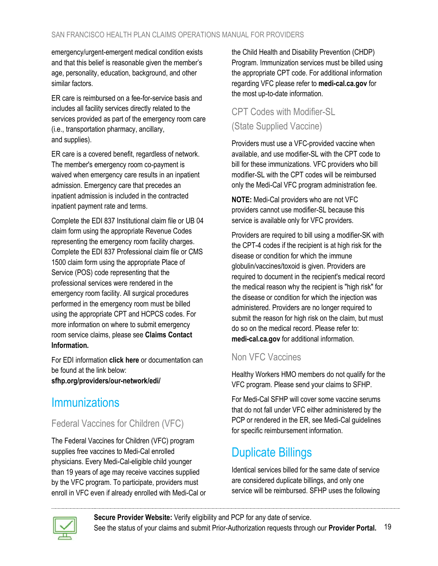emergency/urgent-emergent medical condition exists and that this belief is reasonable given the member's age, personality, education, background, and other similar factors.

ER care is reimbursed on a fee-for-service basis and includes all facility services directly related to the services provided as part of the emergency room care (i.e., transportation pharmacy, ancillary, and supplies).

ER care is a covered benefit, regardless of network. The member's emergency room co-payment is waived when emergency care results in an inpatient admission. Emergency care that precedes an inpatient admission is included in the contracted inpatient payment rate and terms.

Complete the EDI 837 Institutional claim file or UB 04 claim form using the appropriate Revenue Codes representing the emergency room facility charges. Complete the EDI 837 Professional claim file or CMS 1500 claim form using the appropriate Place of Service (POS) code representing that the professional services were rendered in the emergency room facility. All surgical procedures performed in the emergency room must be billed using the appropriate CPT and HCPCS codes. For more information on where to submit emergency room service claims, please see **[Claims Contact](#page-4-1)  [Information.](#page-4-1)**

For EDI information **[click here](#page-28-1)** or documentation can be found at the link below:

**[sfhp.org/providers/our-network/edi/](https://www.sfhp.org/providers/our-network/edi/)**

#### <span id="page-18-0"></span>Immunizations

#### <span id="page-18-1"></span>Federal Vaccines for Children (VFC)

The Federal Vaccines for Children (VFC) program supplies free vaccines to Medi-Cal enrolled physicians. Every Medi-Cal-eligible child younger than 19 years of age may receive vaccines supplied by the VFC program. To participate, providers must enroll in VFC even if already enrolled with Medi-Cal or the Child Health and Disability Prevention (CHDP) Program. Immunization services must be billed using the appropriate CPT code. For additional information regarding VFC please refer to **[medi-cal.ca.gov](http://www.medi-cal.ca.gov/)** for the most up-to-date information.

#### <span id="page-18-2"></span>CPT Codes with Modifier-SL (State Supplied Vaccine)

Providers must use a VFC-provided vaccine when available, and use modifier-SL with the CPT code to bill for these immunizations. VFC providers who bill modifier-SL with the CPT codes will be reimbursed only the Medi-Cal VFC program administration fee.

**NOTE:** Medi-Cal providers who are not VFC providers cannot use modifier-SL because this service is available only for VFC providers.

Providers are required to bill using a modifier-SK with the CPT-4 codes if the recipient is at high risk for the disease or condition for which the immune globulin/vaccines/toxoid is given. Providers are required to document in the recipient's medical record the medical reason why the recipient is "high risk" for the disease or condition for which the injection was administered. Providers are no longer required to submit the reason for high risk on the claim, but must do so on the medical record. Please refer to: **[medi-cal.ca.gov](http://www.medi-cal.ca.gov/)** for additional information.

#### <span id="page-18-3"></span>Non VFC Vaccines

Healthy Workers HMO members do not qualify for the VFC program. Please send your claims to SFHP.

For Medi-Cal SFHP will cover some vaccine serums that do not fall under VFC either administered by the PCP or rendered in the ER, see Medi-Cal guidelines for specific reimbursement information.

#### <span id="page-18-4"></span>Duplicate Billings

Identical services billed for the same date of service are considered duplicate billings, and only one service will be reimbursed. SFHP uses the following

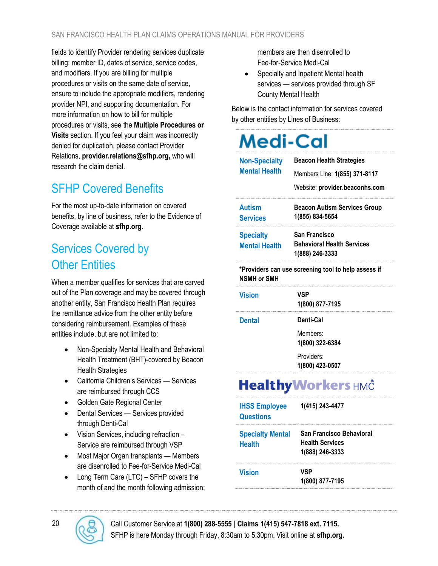fields to identify Provider rendering services duplicate billing: member ID, dates of service, service codes, and modifiers. If you are billing for multiple procedures or visits on the same date of service, ensure to include the appropriate modifiers, rendering provider NPI, and supporting documentation. For more information on how to bill for multiple procedures or visits, see the **[Multiple Procedures or](#page-12-0)  Visits** [section.](#page-12-0) If you feel your claim was incorrectly denied for duplication, please contact Provider Relations, **[provider.relations@sfhp.org,](mailto:provider.relations@sfhp.org)** who will research the claim denial.

### <span id="page-19-0"></span>SFHP Covered Benefits

For the most up-to-date information on covered benefits, by line of business, refer to the Evidence of Coverage available at **[sfhp.org.](http://www.sfhp.org/)**

# <span id="page-19-1"></span>Services Covered by **Other Entities**

When a member qualifies for services that are carved out of the Plan coverage and may be covered through another entity, San Francisco Health Plan requires the remittance advice from the other entity before considering reimbursement. Examples of these entities include, but are not limited to:

- Non-Specialty Mental Health and Behavioral Health Treatment (BHT)-covered by Beacon Health Strategies
- California Children's Services Services are reimbursed through CCS
- Golden Gate Regional Center
- Dental Services Services provided through Denti-Cal
- Vision Services, including refraction Service are reimbursed through VSP
- Most Major Organ transplants Members are disenrolled to Fee-for-Service Medi-Cal
- Long Term Care (LTC) SFHP covers the month of and the month following admission;

members are then disenrolled to Fee-for-Service Medi-Cal

• Specialty and Inpatient Mental health services — services provided through SF County Mental Health

Below is the contact information for services covered by other entities by Lines of Business:

# **Medi-Cal**

| <b>Non-Specialty</b><br><b>Mental Health</b> | <b>Beacon Health Strategies</b><br>Members Line: 1(855) 371-8117<br>Website: provider.beaconhs.com |
|----------------------------------------------|----------------------------------------------------------------------------------------------------|
| <b>Autism</b><br><b>Services</b>             | <b>Beacon Autism Services Group</b><br>1(855) 834-5654                                             |
| <b>Specialty</b><br><b>Mental Health</b>     | <b>San Francisco</b><br><b>Behavioral Health Services</b><br>1(888) 246-3333                       |
| <b>NSMH or SMH</b>                           | *Providers can use screening tool to help assess if                                                |
| <b>Vision</b>                                | <b>VSP</b><br>1(800) 877-7195                                                                      |
| <b>Dental</b>                                | Denti-Cal<br>Members:<br>1(800) 322-6384<br>Providers:<br>1(800) 423-0507                          |
| . .                                          | <b>SM</b>                                                                                          |

# **Healthy Workers HMÖ**

| <b>IHSS Employee</b><br><b>Questions</b> | 1(415) 243-4477                                                       |
|------------------------------------------|-----------------------------------------------------------------------|
| <b>Specialty Mental</b><br><b>Health</b> | San Francisco Behavioral<br><b>Health Services</b><br>1(888) 246-3333 |
| <b>Vision</b>                            | VSP<br>1(800) 877-7195                                                |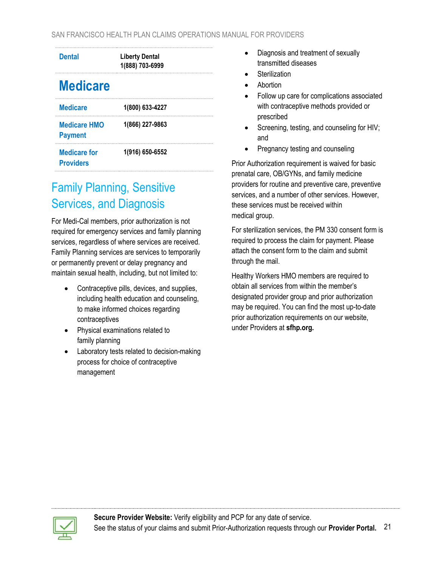| <b>Dental</b>                           | <b>Liberty Dental</b><br>1(888) 703-6999 |
|-----------------------------------------|------------------------------------------|
| <b>Medicare</b>                         |                                          |
| <b>Medicare</b>                         | 1(800) 633-4227                          |
| <b>Medicare HMO</b><br><b>Payment</b>   | 1(866) 227-9863                          |
| <b>Medicare for</b><br><b>Providers</b> | 1(916) 650-6552                          |

#### <span id="page-20-0"></span>Family Planning, Sensitive Services, and Diagnosis

For Medi-Cal members, prior authorization is not required for emergency services and family planning services, regardless of where services are received. Family Planning services are services to temporarily or permanently prevent or delay pregnancy and maintain sexual health, including, but not limited to:

- Contraceptive pills, devices, and supplies, including health education and counseling, to make informed choices regarding contraceptives
- Physical examinations related to family planning
- Laboratory tests related to decision-making process for choice of contraceptive management
- Diagnosis and treatment of sexually transmitted diseases
- **Sterilization**
- Abortion
- Follow up care for complications associated with contraceptive methods provided or prescribed
- Screening, testing, and counseling for HIV; and
- Pregnancy testing and counseling

Prior Authorization requirement is waived for basic prenatal care, OB/GYNs, and family medicine providers for routine and preventive care, preventive services, and a number of other services. However, these services must be received within medical group.

For sterilization services, the PM 330 consent form is required to process the claim for payment. Please attach the consent form to the claim and submit through the mail.

Healthy Workers HMO members are required to obtain all services from within the member's designated provider group and prior authorization may be required. You can find the most up-to-date prior authorization requirements on our website, under Providers at **[sfhp.org.](http://www.sfhp.org/)**

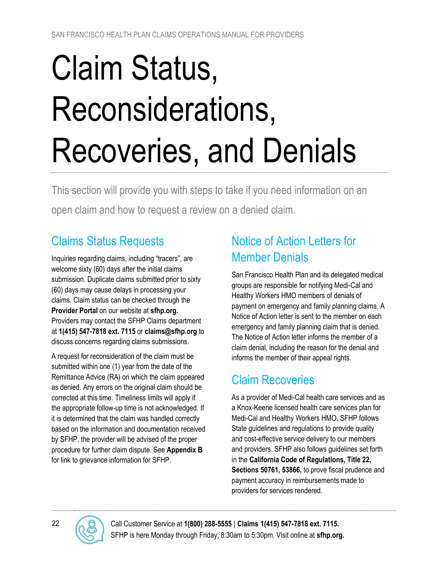# <span id="page-21-0"></span>Claim Status, Reconsiderations, Recoveries, and Denials

This section will provide you with steps to take if you need information on an open claim and how to request a review on a denied claim.

# <span id="page-21-1"></span>Claims Status Requests

Inquiries regarding claims, including "tracers", are welcome sixty (60) days after the initial claims submission. Duplicate claims submitted prior to sixty (60) days may cause delays in processing your claims. Claim status can be checked through the **[Provider Portal](https://sfhpprovider.healthtrioconnect.com/app/index.page?)** on our website at **[sfhp.org.](http://www.sfhp.org/)** Providers may contact the SFHP Claims department at **1(415) 547-7818 ext. 7115** or **[claims@sfhp.org](mailto:claims@sfhp.org)** to discuss concerns regarding claims submissions.

A request for reconsideration of the claim must be submitted within one (1) year from the date of the Remittance Advice (RA) on which the claim appeared as denied. Any errors on the original claim should be corrected at this time. Timeliness limits will apply if the appropriate follow-up time is not acknowledged. If it is determined that the claim was handled correctly based on the information and documentation received by SFHP, the provider will be advised of the proper procedure for further claim dispute. See **[Appendix B](#page-28-0)** for link to grievance information for SFHP.

# <span id="page-21-2"></span>Notice of Action Letters for Member Denials

San Francisco Health Plan and its delegated medical groups are responsible for notifying Medi-Cal and Healthy Workers HMO members of denials of payment on emergency and family planning claims. A Notice of Action letter is sent to the member on each emergency and family planning claim that is denied. The Notice of Action letter informs the member of a claim denial, including the reason for the denial and informs the member of their appeal rights.

# <span id="page-21-3"></span>Claim Recoveries

As a provider of Medi-Cal health care services and as a Knox-Keene licensed health care services plan for Medi-Cal and Healthy Workers HMO, SFHP follows State guidelines and regulations to provide quality and cost-effective service delivery to our members and providers. SFHP also follows guidelines set forth in the **California Code of Regulations, Title 22, Sections 50761, 53866,** to prove fiscal prudence and payment accuracy in reimbursements made to providers for services rendered.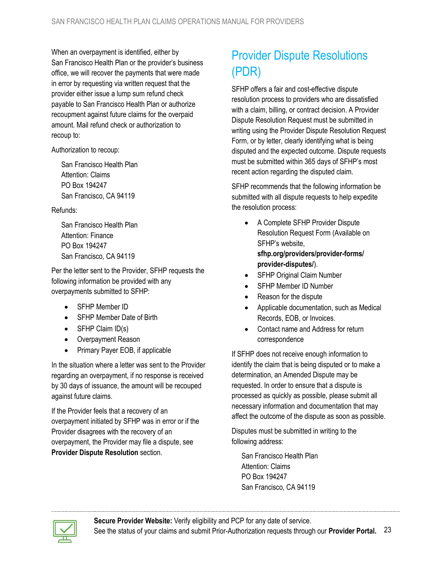When an overpayment is identified, either by San Francisco Health Plan or the provider's business office, we will recover the payments that were made in error by requesting via written request that the provider either issue a lump sum refund check payable to San Francisco Health Plan or authorize recoupment against future claims for the overpaid amount. Mail refund check or authorization to recoup to:

Authorization to recoup:

San Francisco Health Plan Attention: Claims PO Box 194247 San Francisco, CA 94119

#### Refunds:

San Francisco Health Plan Attention: Finance PO Box 194247 San Francisco, CA 94119

Per the letter sent to the Provider, SFHP requests the following information be provided with any overpayments submitted to SFHP:

- SFHP Member ID
- SFHP Member Date of Birth
- SFHP Claim ID(s)
- Overpayment Reason
- Primary Payer EOB, if applicable

In the situation where a letter was sent to the Provider regarding an overpayment, if no response is received by 30 days of issuance, the amount will be recouped against future claims.

If the Provider feels that a recovery of an overpayment initiated by SFHP was in error or if the Provider disagrees with the recovery of an overpayment, the Provider may file a dispute, see **[Provider Dispute Resolution](#page-22-0)** section.

# <span id="page-22-0"></span>Provider Dispute Resolutions (PDR)

SFHP offers a fair and cost-effective dispute resolution process to providers who are dissatisfied with a claim, billing, or contract decision. A Provider Dispute Resolution Request must be submitted in writing using the Provider Dispute Resolution Request Form, or by letter, clearly identifying what is being disputed and the expected outcome. Dispute requests must be submitted within 365 days of SFHP's most recent action regarding the disputed claim.

SFHP recommends that the following information be submitted with all dispute requests to help expedite the resolution process:

- A Complete SFHP Provider Dispute Resolution Request Form (Available on SFHP's website, **[sfhp.org/providers/provider-forms/](https://www.sfhp.org/providers/provider-forms/provider-disputes/) [provider-disputes/](https://www.sfhp.org/providers/provider-forms/provider-disputes/)**).
- **SFHP Original Claim Number**
- SFHP Member ID Number
- Reason for the dispute
- Applicable documentation, such as Medical Records, EOB, or Invoices.
- Contact name and Address for return correspondence

If SFHP does not receive enough information to identify the claim that is being disputed or to make a determination, an Amended Dispute may be requested. In order to ensure that a dispute is processed as quickly as possible, please submit all necessary information and documentation that may affect the outcome of the dispute as soon as possible.

Disputes must be submitted in writing to the following address:

San Francisco Health Plan Attention: Claims PO Box 194247 San Francisco, CA 94119

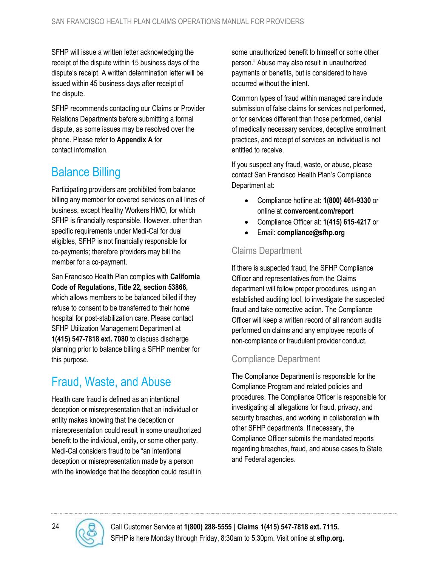SFHP will issue a written letter acknowledging the receipt of the dispute within 15 business days of the dispute's receipt. A written determination letter will be issued within 45 business days after receipt of the dispute.

SFHP recommends contacting our Claims or Provider Relations Departments before submitting a formal dispute, as some issues may be resolved over the phone. Please refer to **[Appendix](#page-24-0) A** for contact information.

# <span id="page-23-0"></span>Balance Billing

Participating providers are prohibited from balance billing any member for covered services on all lines of business, except Healthy Workers HMO, for which SFHP is financially responsible. However, other than specific requirements under Medi-Cal for dual eligibles, SFHP is not financially responsible for co-payments; therefore providers may bill the member for a co-payment.

San Francisco Health Plan complies with **California Code of Regulations, Title 22, section 53866,** which allows members to be balanced billed if they refuse to consent to be transferred to their home hospital for post-stabilization care. Please contact SFHP Utilization Management Department at **1(415) 547-7818 ext. 7080** to discuss discharge planning prior to balance billing a SFHP member for this purpose.

#### <span id="page-23-1"></span>Fraud, Waste, and Abuse

Health care fraud is defined as an intentional deception or misrepresentation that an individual or entity makes knowing that the deception or misrepresentation could result in some unauthorized benefit to the individual, entity, or some other party. Medi-Cal considers fraud to be "an intentional deception or misrepresentation made by a person with the knowledge that the deception could result in some unauthorized benefit to himself or some other person." Abuse may also result in unauthorized payments or benefits, but is considered to have occurred without the intent.

Common types of fraud within managed care include submission of false claims for services not performed, or for services different than those performed, denial of medically necessary services, deceptive enrollment practices, and receipt of services an individual is not entitled to receive.

If you suspect any fraud, waste, or abuse, please contact San Francisco Health Plan's Compliance Department at:

- Compliance hotline at: **1(800) 461-9330** or online at **[convercent.com/report](http://www.convercent.com/report)**
- Compliance Officer at: **1(415) 615-4217** or
- Email: **[compliance@sfhp.org](mailto:compliance@sfhp.org)**

#### <span id="page-23-2"></span>Claims Department

If there is suspected fraud, the SFHP Compliance Officer and representatives from the Claims department will follow proper procedures, using an established auditing tool, to investigate the suspected fraud and take corrective action. The Compliance Officer will keep a written record of all random audits performed on claims and any employee reports of non-compliance or fraudulent provider conduct.

#### <span id="page-23-3"></span>Compliance Department

The Compliance Department is responsible for the Compliance Program and related policies and procedures. The Compliance Officer is responsible for investigating all allegations for fraud, privacy, and security breaches, and working in collaboration with other SFHP departments. If necessary, the Compliance Officer submits the mandated reports regarding breaches, fraud, and abuse cases to State and Federal agencies.

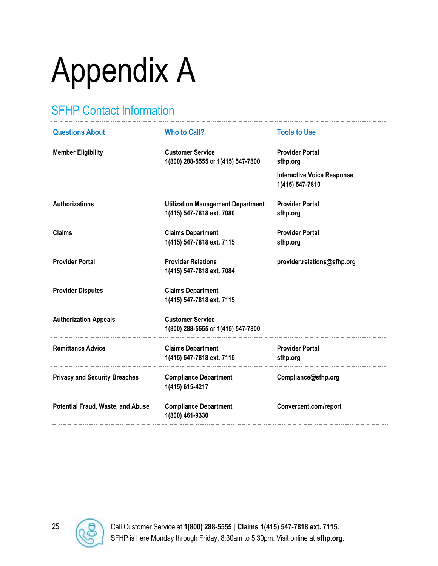# <span id="page-24-0"></span>Appendix A

# <span id="page-24-1"></span>SFHP Contact Information

| <b>Questions About</b>                   | <b>Who to Call?</b>                                                   | <b>Tools to Use</b>                                  |
|------------------------------------------|-----------------------------------------------------------------------|------------------------------------------------------|
| <b>Member Eligibility</b>                | <b>Customer Service</b><br>1(800) 288-5555 or 1(415) 547-7800         | <b>Provider Portal</b><br>sfhp.org                   |
|                                          |                                                                       | <b>Interactive Voice Response</b><br>1(415) 547-7810 |
| <b>Authorizations</b>                    | <b>Utilization Management Department</b><br>1(415) 547-7818 ext. 7080 | <b>Provider Portal</b><br>sfhp.org                   |
| <b>Claims</b>                            | <b>Claims Department</b><br>1(415) 547-7818 ext. 7115                 | <b>Provider Portal</b><br>sfhp.org                   |
| <b>Provider Portal</b>                   | <b>Provider Relations</b><br>1(415) 547-7818 ext. 7084                | provider.relations@sfhp.org                          |
| <b>Provider Disputes</b>                 | <b>Claims Department</b><br>1(415) 547-7818 ext. 7115                 |                                                      |
| <b>Authorization Appeals</b>             | <b>Customer Service</b><br>1(800) 288-5555 or 1(415) 547-7800         |                                                      |
| <b>Remittance Advice</b>                 | <b>Claims Department</b><br>1(415) 547-7818 ext. 7115                 | <b>Provider Portal</b><br>sfhp.org                   |
| <b>Privacy and Security Breaches</b>     | <b>Compliance Department</b><br>1(415) 615-4217                       | Compliance@sfhp.org                                  |
| <b>Potential Fraud, Waste, and Abuse</b> | <b>Compliance Department</b><br>1(800) 461-9330                       | Convercent.com/report                                |

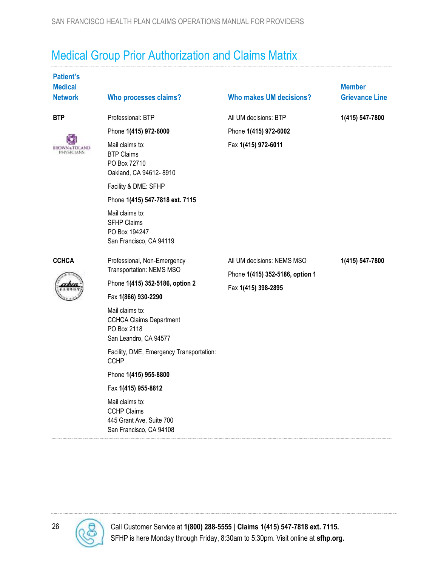# <span id="page-25-0"></span>Medical Group Prior Authorization and Claims Matrix

| <b>Patient's</b><br><b>Medical</b><br><b>Network</b> | <b>Who processes claims?</b>                                                                                                                                                                                                                                                                                                                                                                                              | <b>Who makes UM decisions?</b>                                                       | <b>Member</b><br><b>Grievance Line</b> |
|------------------------------------------------------|---------------------------------------------------------------------------------------------------------------------------------------------------------------------------------------------------------------------------------------------------------------------------------------------------------------------------------------------------------------------------------------------------------------------------|--------------------------------------------------------------------------------------|----------------------------------------|
| <b>BTP</b><br>BROWN & I OI<br><b>PHYSICIANS</b>      | Professional: BTP<br>Phone 1(415) 972-6000<br>Mail claims to:<br><b>BTP Claims</b><br>PO Box 72710<br>Oakland, CA 94612-8910<br>Facility & DME: SFHP<br>Phone 1(415) 547-7818 ext. 7115<br>Mail claims to:<br><b>SFHP Claims</b><br>PO Box 194247<br>San Francisco, CA 94119                                                                                                                                              | All UM decisions: BTP<br>Phone 1(415) 972-6002<br>Fax 1(415) 972-6011                | 1(415) 547-7800                        |
| <b>CCHCA</b>                                         | Professional, Non-Emergency<br>Transportation: NEMS MSO<br>Phone 1(415) 352-5186, option 2<br>Fax 1(866) 930-2290<br>Mail claims to:<br><b>CCHCA Claims Department</b><br>PO Box 2118<br>San Leandro, CA 94577<br>Facility, DME, Emergency Transportation:<br><b>CCHP</b><br>Phone 1(415) 955-8800<br>Fax 1(415) 955-8812<br>Mail claims to:<br><b>CCHP Claims</b><br>445 Grant Ave, Suite 700<br>San Francisco, CA 94108 | All UM decisions: NEMS MSO<br>Phone 1(415) 352-5186, option 1<br>Fax 1(415) 398-2895 | 1(415) 547-7800                        |

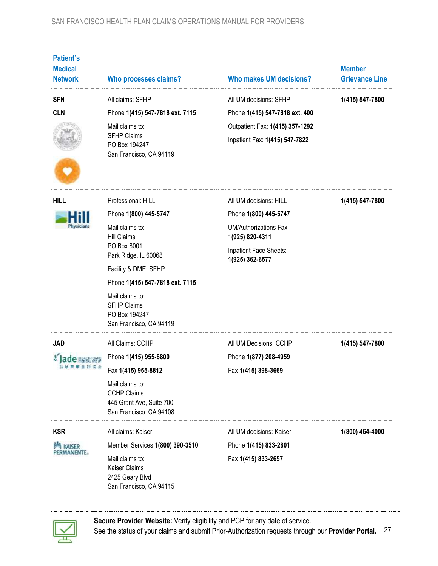| <b>Patient's</b><br><b>Medical</b><br><b>Network</b> | <b>Who processes claims?</b>                                                                                                                                                                                                                                                | <b>Who makes UM decisions?</b>                                                                                                                   | <b>Member</b><br><b>Grievance Line</b> |
|------------------------------------------------------|-----------------------------------------------------------------------------------------------------------------------------------------------------------------------------------------------------------------------------------------------------------------------------|--------------------------------------------------------------------------------------------------------------------------------------------------|----------------------------------------|
| <b>SFN</b><br><b>CLN</b>                             | All claims: SFHP<br>Phone 1(415) 547-7818 ext. 7115<br>Mail claims to:<br><b>SFHP Claims</b><br>PO Box 194247<br>San Francisco, CA 94119                                                                                                                                    | All UM decisions: SFHP<br>Phone 1(415) 547-7818 ext. 400<br>Outpatient Fax: 1(415) 357-1292<br>Inpatient Fax: 1(415) 547-7822                    | 1(415) 547-7800                        |
| <b>HILL</b><br>Physicians                            | Professional: HILL<br>Phone 1(800) 445-5747<br>Mail claims to:<br><b>Hill Claims</b><br>PO Box 8001<br>Park Ridge, IL 60068<br>Facility & DME: SFHP<br>Phone 1(415) 547-7818 ext. 7115<br>Mail claims to:<br><b>SFHP Claims</b><br>PO Box 194247<br>San Francisco, CA 94119 | All UM decisions: HILL<br>Phone 1(800) 445-5747<br><b>UM/Authorizations Fax:</b><br>1(925) 820-4311<br>Inpatient Face Sheets:<br>1(925) 362-6577 | 1(415) 547-7800                        |
| <b>JAD</b>                                           | All Claims: CCHP<br>Phone 1(415) 955-8800<br>Fax 1(415) 955-8812<br>Mail claims to:<br><b>CCHP Claims</b><br>445 Grant Ave, Suite 700<br>San Francisco, CA 94108                                                                                                            | All UM Decisions: CCHP<br>Phone 1(877) 208-4959<br>Fax 1(415) 398-3669                                                                           | 1(415) 547-7800                        |
| <b>KSR</b><br>KAISER<br>PERMANENTE.                  | All claims: Kaiser<br>Member Services 1(800) 390-3510<br>Mail claims to:<br>Kaiser Claims<br>2425 Geary Blvd<br>San Francisco, CA 94115                                                                                                                                     | All UM decisions: Kaiser<br>Phone 1(415) 833-2801<br>Fax 1(415) 833-2657                                                                         | 1(800) 464-4000                        |



**[Secure Provider Website:](https://sfhpprovider.healthtrioconnect.com/app/index.page?)** Verify eligibility and PCP for any date of service. See the status of your claims and submit Prior-Authorization requests through our **[Provider Portal.](https://sfhpprovider.healthtrioconnect.com/app/index.page?)** 27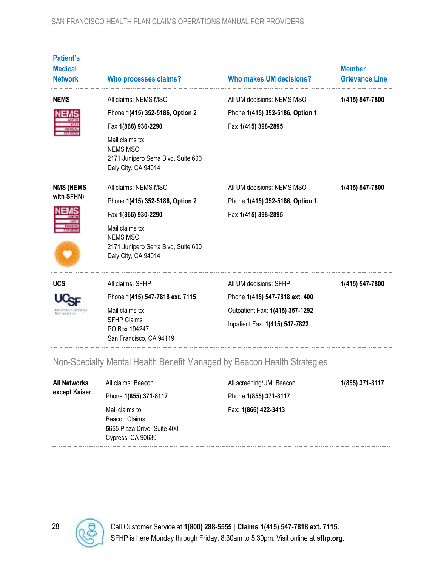| <b>Patient's</b><br><b>Medical</b><br><b>Network</b> | <b>Who processes claims?</b>                                                                                                                                                       | Who makes UM decisions?                                                                                                       | <b>Member</b><br><b>Grievance Line</b> |
|------------------------------------------------------|------------------------------------------------------------------------------------------------------------------------------------------------------------------------------------|-------------------------------------------------------------------------------------------------------------------------------|----------------------------------------|
| <b>NEMS</b>                                          | All claims: NEMS MSO<br>Phone 1(415) 352-5186, Option 2<br>Fax 1(866) 930-2290<br>Mail claims to:<br><b>NEMS MSO</b><br>2171 Junipero Serra Blvd, Suite 600<br>Daly City, CA 94014 | All UM decisions: NEMS MSO<br>Phone 1(415) 352-5186, Option 1<br>Fax 1(415) 398-2895                                          | 1(415) 547-7800                        |
| <b>NMS (NEMS</b><br>with SFHN)                       | All claims: NEMS MSO<br>Phone 1(415) 352-5186, Option 2<br>Fax 1(866) 930-2290<br>Mail claims to:<br><b>NEMS MSO</b><br>2171 Junipero Serra Blvd, Suite 600<br>Daly City, CA 94014 | All UM decisions: NEMS MSO<br>Phone 1(415) 352-5186, Option 1<br>Fax 1(415) 398-2895                                          | 1(415) 547-7800                        |
| <b>UCS</b><br><b>Ran Francisco</b>                   | All claims: SFHP<br>Phone 1(415) 547-7818 ext. 7115<br>Mail claims to:<br><b>SFHP Claims</b><br>PO Box 194247<br>San Francisco, CA 94119                                           | All UM decisions: SFHP<br>Phone 1(415) 547-7818 ext. 400<br>Outpatient Fax: 1(415) 357-1292<br>Inpatient Fax: 1(415) 547-7822 | 1(415) 547-7800                        |

#### <span id="page-27-0"></span>Non-Specialty Mental Health Benefit Managed by Beacon Health Strategies

| <b>All Networks</b><br>except Kaiser | All claims: Beacon                                                                   | All screening/UM: Beacon | 1(855) 371-8117 |
|--------------------------------------|--------------------------------------------------------------------------------------|--------------------------|-----------------|
|                                      | Phone 1(855) 371-8117                                                                | Phone 1(855) 371-8117    |                 |
|                                      | Mail claims to:<br>Beacon Claims<br>5665 Plaza Drive, Suite 400<br>Cypress, CA 90630 | Fax: 1(866) 422-3413     |                 |

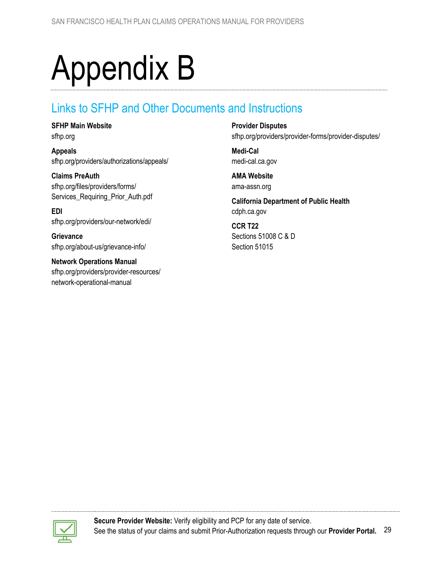# <span id="page-28-0"></span>Appendix B

#### <span id="page-28-1"></span>Links to SFHP and Other Documents and Instructions

**SFHP Main Website**

[sfhp.org](http://www.sfhp.org/)

**Appeals** [sfhp.org/providers/authorizations/appeals/](https://www.sfhp.org/providers/authorizations/appeals/)

**Claims PreAuth** [sfhp.org/files/providers/forms/](https://www.sfhp.org/files/providers/forms/Services_Requiring_Prior_Auth.pdf) [Services\\_Requiring\\_Prior\\_Auth.pdf](https://www.sfhp.org/files/providers/forms/Services_Requiring_Prior_Auth.pdf)

**EDI** [sfhp.org/providers/our-network/edi/](https://www.sfhp.org/providers/our-network/edi/)

**Grievance** [sfhp.org/about-us/grievance-info/](https://www.sfhp.org/about-us/grievance-info/)

**Network Operations Manual** [sfhp.org/providers/provider-resources/](https://www.sfhp.org/providers/provider-resources/network-operational-manual) [network-operational-manual](https://www.sfhp.org/providers/provider-resources/network-operational-manual)

**Provider Disputes** [sfhp.org/providers/provider-forms/provider-disputes/](https://www.sfhp.org/providers/provider-forms/provider-disputes/)

**Medi-Cal** [medi-cal.ca.gov](http://www.medi-cal.ca.gov/)

**AMA Website** [ama-assn.org](http://www.ama-assn.org/)

**California Department of Public Health** [cdph.ca.gov](file:///C:/Users/Dana%20Hopson/Desktop/claims%20manual%20updates/www.cdph.ca.gov)

**CCR T22** [Sections 51008 C & D](https://govt.westlaw.com/calregs/Document/I48CA6940711A11E398C8A377CF1D5F21?originationContext=Search+Result&listSource=Search&viewType=FullText&navigationPath=Search%2fv3%2fsearch%2fresults%2fnavigation%2fi0ad62d2e000001683a02769f5f998ca9%3fstartIndex%3d1%26Nav%3dREGULATION_PUBLICVIEW%26contextData%3d(sc.Default)&rank=1&list=REGULATION_PUBLICVIEW&transitionType=SearchItem&contextData=(sc.Search)&t_T1=22&t_T2=51008&t_S1=CA+ADC+s) [Section 51015](https://govt.westlaw.com/calregs/Document/I4A7DE5A0711A11E398C8A377CF1D5F21?originationContext=Search+Result&listSource=Search&viewType=FullText&navigationPath=Search%2fv3%2fsearch%2fresults%2fnavigation%2fi0ad62d2e000001683a0ec4495f998db4%3fstartIndex%3d1%26Nav%3dREGULATION_PUBLICVIEW%26contextData%3d(sc.Default)&rank=1&list=REGULATION_PUBLICVIEW&transitionType=SearchItem&contextData=(sc.Search)&t_T1=22&t_T2=51015&t_S1=CA+ADC+s)